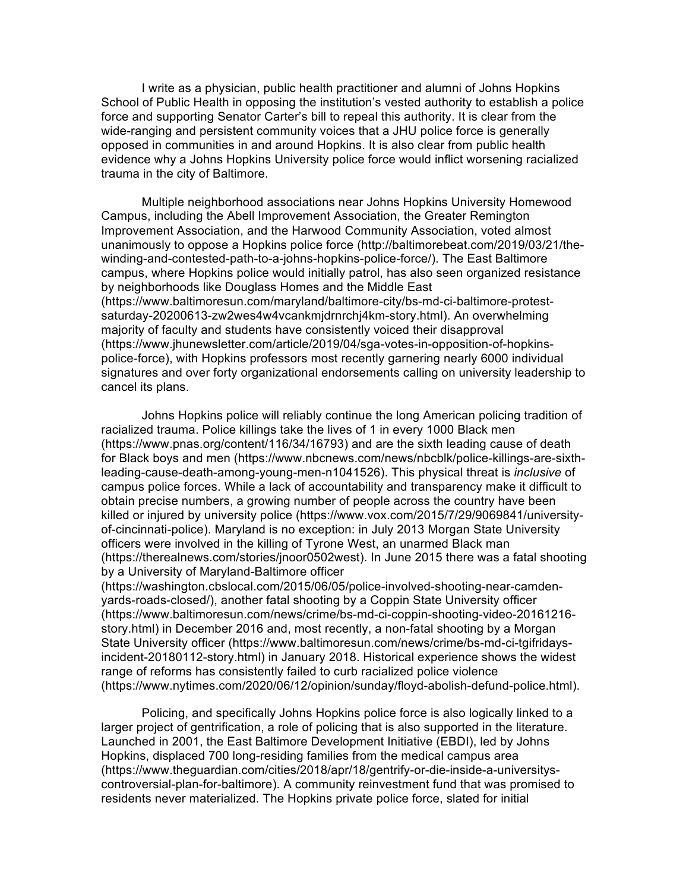I write as a physician, public health practitioner and alumni of Johns Hopkins School of Public Health in opposing the institution's vested authority to establish a police force and supporting Senator Carter's bill to repeal this authority. It is clear from the wide-ranging and persistent community voices that a JHU police force is generally opposed in communities in and around Hopkins. It is also clear from public health evidence why a Johns Hopkins University police force would inflict worsening racialized trauma in the city of Baltimore.

Multiple neighborhood associations near Johns Hopkins University Homewood Campus, including the Abell Improvement Association, the Greater Remington Improvement Association, and the Harwood Community Association, voted almost unanimously to oppose a Hopkins police force (http://baltimorebeat.com/2019/03/21/thewinding-and-contested-path-to-a-johns-hopkins-police-force/). The East Baltimore campus, where Hopkins police would initially patrol, has also seen organized resistance by neighborhoods like Douglass Homes and the Middle East (https://www.baltimoresun.com/maryland/baltimore-city/bs-md-ci-baltimore-protestsaturday-20200613-zw2wes4w4vcankmjdrnrchj4km-story.html). An overwhelming majority of faculty and students have consistently voiced their disapproval (https://www.jhunewsletter.com/article/2019/04/sga-votes-in-opposition-of-hopkinspolice-force), with Hopkins professors most recently garnering nearly 6000 individual signatures and over forty organizational endorsements calling on university leadership to cancel its plans.

Johns Hopkins police will reliably continue the long American policing tradition of racialized trauma. Police killings take the lives of 1 in every 1000 Black men (https://www.pnas.org/content/116/34/16793) and are the sixth leading cause of death for Black boys and men (https://www.nbcnews.com/news/nbcblk/police-killings-are-sixthleading-cause-death-among-young-men-n1041526). This physical threat is *inclusive* of campus police forces. While a lack of accountability and transparency make it difficult to obtain precise numbers, a growing number of people across the country have been killed or injured by university police (https://www.vox.com/2015/7/29/9069841/universityof-cincinnati-police). Maryland is no exception: in July 2013 Morgan State University officers were involved in the killing of Tyrone West, an unarmed Black man (https://therealnews.com/stories/jnoor0502west). In June 2015 there was a fatal shooting by a University of Maryland-Baltimore officer

(https://washington.cbslocal.com/2015/06/05/police-involved-shooting-near-camdenyards-roads-closed/), another fatal shooting by a Coppin State University officer (https://www.baltimoresun.com/news/crime/bs-md-ci-coppin-shooting-video-20161216 story.html) in December 2016 and, most recently, a non-fatal shooting by a Morgan State University officer (https://www.baltimoresun.com/news/crime/bs-md-ci-tgifridaysincident-20180112-story.html) in January 2018. Historical experience shows the widest range of reforms has consistently failed to curb racialized police violence (https://www.nytimes.com/2020/06/12/opinion/sunday/floyd-abolish-defund-police.html).

Policing, and specifically Johns Hopkins police force is also logically linked to a larger project of gentrification, a role of policing that is also supported in the literature. Launched in 2001, the East Baltimore Development Initiative (EBDI), led by Johns Hopkins, displaced 700 long-residing families from the medical campus area (https://www.theguardian.com/cities/2018/apr/18/gentrify-or-die-inside-a-universityscontroversial-plan-for-baltimore). A community reinvestment fund that was promised to residents never materialized. The Hopkins private police force, slated for initial